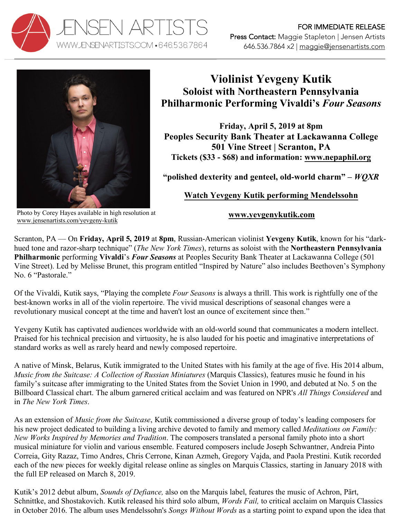



## **Violinist Yevgeny Kutik Soloist with Northeastern Pennsylvania Philharmonic Performing Vivaldi's** *Four Seasons*

**Friday, April 5, 2019 at 8pm Peoples Security Bank Theater at Lackawanna College 501 Vine Street | Scranton, PA Tickets (\$33 - \$68) and information: www.nepaphil.org**

**"polished dexterity and genteel, old-world charm" –** *WQXR*

## **[Watch Yevgeny Kutik performing Mendelssohn](https://youtu.be/2GiLUs7xYzo)**

Photo by Corey Hayes available in high resolution at www.jensenartists.com/yevgeny-kutik

**www.yevgenykutik.com**

Scranton, PA — On **Friday, April 5, 2019** at **8pm**, Russian-American violinist **Yevgeny Kutik**, known for his "darkhued tone and razor-sharp technique" (*The New York Times*), returns as soloist with the **Northeastern Pennsylvania Philharmonic** performing **Vivaldi**'s *Four Seasons* at Peoples Security Bank Theater at Lackawanna College (501 Vine Street). Led by Melisse Brunet, this program entitled "Inspired by Nature" also includes Beethoven's Symphony No. 6 "Pastorale."

Of the Vivaldi, Kutik says, "Playing the complete *Four Seasons* is always a thrill. This work is rightfully one of the best-known works in all of the violin repertoire. The vivid musical descriptions of seasonal changes were a revolutionary musical concept at the time and haven't lost an ounce of excitement since then."

Yevgeny Kutik has captivated audiences worldwide with an old-world sound that communicates a modern intellect. Praised for his technical precision and virtuosity, he is also lauded for his poetic and imaginative interpretations of standard works as well as rarely heard and newly composed repertoire.

A native of Minsk, Belarus, Kutik immigrated to the United States with his family at the age of five. His 2014 album, *Music from the Suitcase: A Collection of Russian Miniatures* (Marquis Classics), features music he found in his family's suitcase after immigrating to the United States from the Soviet Union in 1990, and debuted at No. 5 on the Billboard Classical chart. The album garnered critical acclaim and was featured on NPR's *All Things Considered* and in *The New York Times*.

As an extension of *Music from the Suitcase*, Kutik commissioned a diverse group of today's leading composers for his new project dedicated to building a living archive devoted to family and memory called *Meditations on Family: New Works Inspired by Memories and Tradition*. The composers translated a personal family photo into a short musical miniature for violin and various ensemble. Featured composers include Joseph Schwantner, Andreia Pinto Correia, Gity Razaz, Timo Andres, Chris Cerrone, Kinan Azmeh, Gregory Vajda, and Paola Prestini. Kutik recorded each of the new pieces for weekly digital release online as singles on Marquis Classics, starting in January 2018 with the full EP released on March 8, 2019.

Kutik's 2012 debut album, *Sounds of Defiance,* also on the Marquis label, features the music of Achron, Pärt, Schnittke, and Shostakovich. Kutik released his third solo album, *Words Fail,* to critical acclaim on Marquis Classics in October 2016. The album uses Mendelssohn's *Songs Without Words* as a starting point to expand upon the idea that